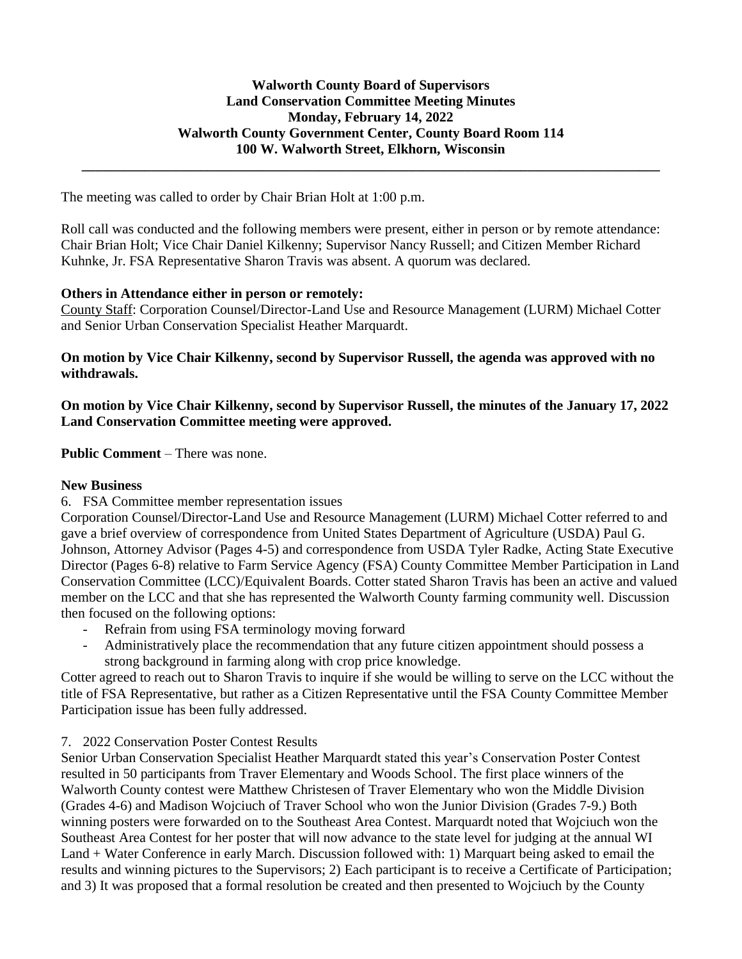**\_\_\_\_\_\_\_\_\_\_\_\_\_\_\_\_\_\_\_\_\_\_\_\_\_\_\_\_\_\_\_\_\_\_\_\_\_\_\_\_\_\_\_\_\_\_\_\_\_\_\_\_\_\_\_\_\_\_\_\_\_\_\_\_\_\_\_\_\_\_\_\_\_\_\_\_\_\_\_\_\_\_\_**

The meeting was called to order by Chair Brian Holt at 1:00 p.m.

Roll call was conducted and the following members were present, either in person or by remote attendance: Chair Brian Holt; Vice Chair Daniel Kilkenny; Supervisor Nancy Russell; and Citizen Member Richard Kuhnke, Jr. FSA Representative Sharon Travis was absent. A quorum was declared.

## **Others in Attendance either in person or remotely:**

County Staff: Corporation Counsel/Director-Land Use and Resource Management (LURM) Michael Cotter and Senior Urban Conservation Specialist Heather Marquardt.

**On motion by Vice Chair Kilkenny, second by Supervisor Russell, the agenda was approved with no withdrawals.**

**On motion by Vice Chair Kilkenny, second by Supervisor Russell, the minutes of the January 17, 2022 Land Conservation Committee meeting were approved.**

**Public Comment** – There was none.

### **New Business**

# 6. FSA Committee member representation issues

Corporation Counsel/Director-Land Use and Resource Management (LURM) Michael Cotter referred to and gave a brief overview of correspondence from United States Department of Agriculture (USDA) Paul G. Johnson, Attorney Advisor (Pages 4-5) and correspondence from USDA Tyler Radke, Acting State Executive Director (Pages 6-8) relative to Farm Service Agency (FSA) County Committee Member Participation in Land Conservation Committee (LCC)/Equivalent Boards. Cotter stated Sharon Travis has been an active and valued member on the LCC and that she has represented the Walworth County farming community well. Discussion then focused on the following options:

- Refrain from using FSA terminology moving forward
- Administratively place the recommendation that any future citizen appointment should possess a strong background in farming along with crop price knowledge.

Cotter agreed to reach out to Sharon Travis to inquire if she would be willing to serve on the LCC without the title of FSA Representative, but rather as a Citizen Representative until the FSA County Committee Member Participation issue has been fully addressed.

## 7. 2022 Conservation Poster Contest Results

Senior Urban Conservation Specialist Heather Marquardt stated this year's Conservation Poster Contest resulted in 50 participants from Traver Elementary and Woods School. The first place winners of the Walworth County contest were Matthew Christesen of Traver Elementary who won the Middle Division (Grades 4-6) and Madison Wojciuch of Traver School who won the Junior Division (Grades 7-9.) Both winning posters were forwarded on to the Southeast Area Contest. Marquardt noted that Wojciuch won the Southeast Area Contest for her poster that will now advance to the state level for judging at the annual WI Land + Water Conference in early March. Discussion followed with: 1) Marquart being asked to email the results and winning pictures to the Supervisors; 2) Each participant is to receive a Certificate of Participation; and 3) It was proposed that a formal resolution be created and then presented to Wojciuch by the County